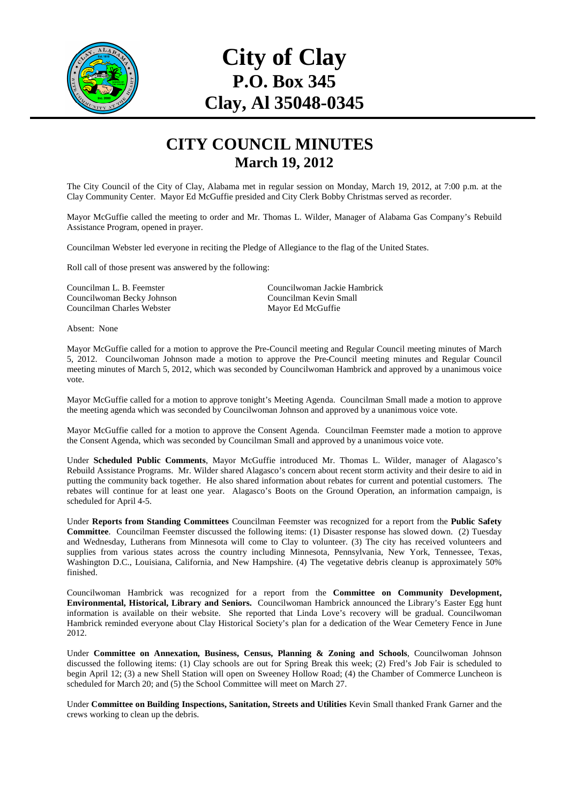

## **City of Clay P.O. Box 345 Clay, Al 35048-0345**

## **CITY COUNCIL MINUTES March 19, 2012**

The City Council of the City of Clay, Alabama met in regular session on Monday, March 19, 2012, at 7:00 p.m. at the Clay Community Center. Mayor Ed McGuffie presided and City Clerk Bobby Christmas served as recorder.

Mayor McGuffie called the meeting to order and Mr. Thomas L. Wilder, Manager of Alabama Gas Company's Rebuild Assistance Program, opened in prayer.

Councilman Webster led everyone in reciting the Pledge of Allegiance to the flag of the United States.

Roll call of those present was answered by the following:

Councilwoman Becky Johnson Councilman Charles Webster Mayor Ed McGuffie

Councilman L. B. Feemster Councilwoman Jackie Hambrick

Absent: None

Mayor McGuffie called for a motion to approve the Pre-Council meeting and Regular Council meeting minutes of March 5, 2012. Councilwoman Johnson made a motion to approve the Pre-Council meeting minutes and Regular Council meeting minutes of March 5, 2012, which was seconded by Councilwoman Hambrick and approved by a unanimous voice vote.

Mayor McGuffie called for a motion to approve tonight's Meeting Agenda. Councilman Small made a motion to approve the meeting agenda which was seconded by Councilwoman Johnson and approved by a unanimous voice vote.

Mayor McGuffie called for a motion to approve the Consent Agenda. Councilman Feemster made a motion to approve the Consent Agenda, which was seconded by Councilman Small and approved by a unanimous voice vote.

Under **Scheduled Public Comments**, Mayor McGuffie introduced Mr. Thomas L. Wilder, manager of Alagasco's Rebuild Assistance Programs. Mr. Wilder shared Alagasco's concern about recent storm activity and their desire to aid in putting the community back together. He also shared information about rebates for current and potential customers. The rebates will continue for at least one year. Alagasco's Boots on the Ground Operation, an information campaign, is scheduled for April 4-5.

Under **Reports from Standing Committees** Councilman Feemster was recognized for a report from the **Public Safety Committee**. Councilman Feemster discussed the following items: (1) Disaster response has slowed down. (2) Tuesday and Wednesday, Lutherans from Minnesota will come to Clay to volunteer. (3) The city has received volunteers and supplies from various states across the country including Minnesota, Pennsylvania, New York, Tennessee, Texas, Washington D.C., Louisiana, California, and New Hampshire. (4) The vegetative debris cleanup is approximately 50% finished.

Councilwoman Hambrick was recognized for a report from the **Committee on Community Development, Environmental, Historical, Library and Seniors.** Councilwoman Hambrick announced the Library's Easter Egg hunt information is available on their website. She reported that Linda Love's recovery will be gradual. Councilwoman Hambrick reminded everyone about Clay Historical Society's plan for a dedication of the Wear Cemetery Fence in June 2012.

Under **Committee on Annexation, Business, Census, Planning & Zoning and Schools**, Councilwoman Johnson discussed the following items: (1) Clay schools are out for Spring Break this week; (2) Fred's Job Fair is scheduled to begin April 12; (3) a new Shell Station will open on Sweeney Hollow Road; (4) the Chamber of Commerce Luncheon is scheduled for March 20; and (5) the School Committee will meet on March 27.

Under **Committee on Building Inspections, Sanitation, Streets and Utilities** Kevin Small thanked Frank Garner and the crews working to clean up the debris.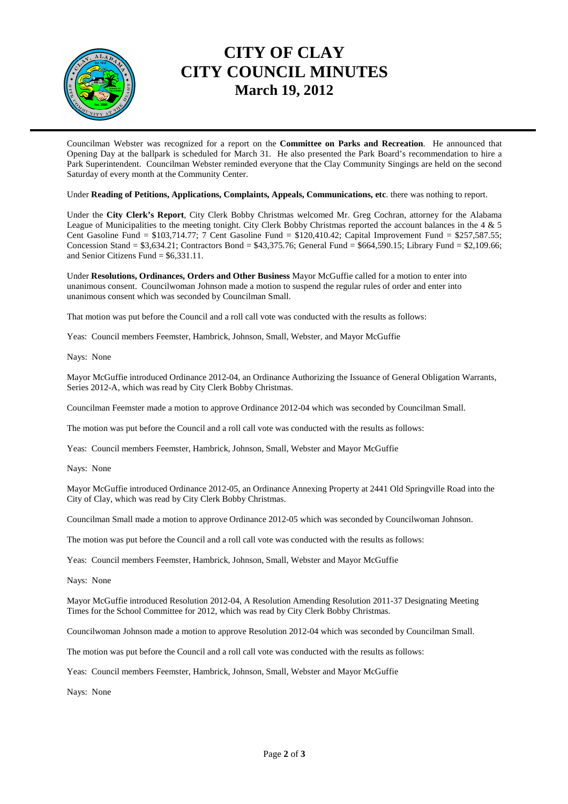

## **CITY OF CLAY CITY COUNCIL MINUTES March 19, 2012**

Councilman Webster was recognized for a report on the **Committee on Parks and Recreation**. He announced that Opening Day at the ballpark is scheduled for March 31. He also presented the Park Board's recommendation to hire a Park Superintendent. Councilman Webster reminded everyone that the Clay Community Singings are held on the second Saturday of every month at the Community Center.

Under **Reading of Petitions, Applications, Complaints, Appeals, Communications, etc**. there was nothing to report.

Under the **City Clerk's Report**, City Clerk Bobby Christmas welcomed Mr. Greg Cochran, attorney for the Alabama League of Municipalities to the meeting tonight. City Clerk Bobby Christmas reported the account balances in the 4 & 5 Cent Gasoline Fund = \$103,714.77; 7 Cent Gasoline Fund = \$120,410.42; Capital Improvement Fund = \$257,587.55; Concession Stand = \$3,634.21; Contractors Bond = \$43,375.76; General Fund = \$664,590.15; Library Fund = \$2,109.66; and Senior Citizens Fund =  $$6,331.11$ .

Under **Resolutions, Ordinances, Orders and Other Business** Mayor McGuffie called for a motion to enter into unanimous consent. Councilwoman Johnson made a motion to suspend the regular rules of order and enter into unanimous consent which was seconded by Councilman Small.

That motion was put before the Council and a roll call vote was conducted with the results as follows:

Yeas: Council members Feemster, Hambrick, Johnson, Small, Webster, and Mayor McGuffie

Nays: None

Mayor McGuffie introduced Ordinance 2012-04, an Ordinance Authorizing the Issuance of General Obligation Warrants, Series 2012-A, which was read by City Clerk Bobby Christmas.

Councilman Feemster made a motion to approve Ordinance 2012-04 which was seconded by Councilman Small.

The motion was put before the Council and a roll call vote was conducted with the results as follows:

Yeas: Council members Feemster, Hambrick, Johnson, Small, Webster and Mayor McGuffie

Nays: None

Mayor McGuffie introduced Ordinance 2012-05, an Ordinance Annexing Property at 2441 Old Springville Road into the City of Clay, which was read by City Clerk Bobby Christmas.

Councilman Small made a motion to approve Ordinance 2012-05 which was seconded by Councilwoman Johnson.

The motion was put before the Council and a roll call vote was conducted with the results as follows:

Yeas: Council members Feemster, Hambrick, Johnson, Small, Webster and Mayor McGuffie

Nays: None

Mayor McGuffie introduced Resolution 2012-04, A Resolution Amending Resolution 2011-37 Designating Meeting Times for the School Committee for 2012, which was read by City Clerk Bobby Christmas.

Councilwoman Johnson made a motion to approve Resolution 2012-04 which was seconded by Councilman Small.

The motion was put before the Council and a roll call vote was conducted with the results as follows:

Yeas: Council members Feemster, Hambrick, Johnson, Small, Webster and Mayor McGuffie

Nays: None